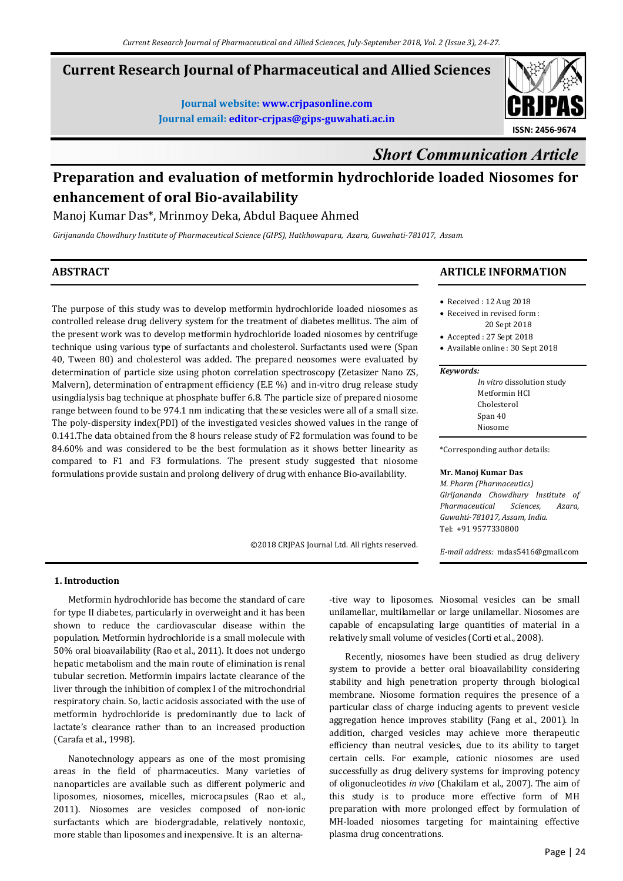## **Current Research Journal of Pharmaceutical and Allied Sciences**

**Journal website: www.crjpasonline.com Journal email: editor-crjpas@gips-guwahati.ac.in** 



# *Short Communication Article*

# **Preparation and evaluation of metformin hydrochloride loaded Niosomes for enhancement of oral Bio-availability**

## Manoj Kumar Das\*, Mrinmoy Deka, Abdul Baquee Ahmed

*Girijananda Chowdhury Institute of Pharmaceutical Science (GIPS), Hatkhowapara, Azara, Guwahati-781017, Assam.*

## **ABSTRACT**

The purpose of this study was to develop metformin hydrochloride loaded niosomes as controlled release drug delivery system for the treatment of diabetes mellitus. The aim of the present work was to develop metformin hydrochloride loaded niosomes by centrifuge technique using various type of surfactants and cholesterol. Surfactants used were (Span 40, Tween 80) and cholesterol was added. The prepared neosomes were evaluated by determination of particle size using photon correlation spectroscopy (Zetasizer Nano ZS, Malvern), determination of entrapment efficiency (E.E %) and in-vitro drug release study usingdialysis bag technique at phosphate buffer 6.8. The particle size of prepared niosome range between found to be 974.1 nm indicating that these vesicles were all of a small size. The poly-dispersity index(PDI) of the investigated vesicles showed values in the range of 0.141.The data obtained from the 8 hours release study of F2 formulation was found to be 84.60% and was considered to be the best formulation as it shows better linearity as compared to F1 and F3 formulations. The present study suggested that niosome formulations provide sustain and prolong delivery of drug with enhance Bio-availability.

©2018 CRJPAS Journal Ltd. All rights reserved.

## **ARTICLE INFORMATION**

- Received : 12 Aug 2018
- Received in revised form : 20 Sept 2018
- Accepted : 27 Sept 2018
- Available online : 30 Sept 2018

#### *Keywords:*

| In vitro dissolution study |
|----------------------------|
| Metformin HCl              |
| Cholesterol                |
| Span 40                    |
| Niosome                    |

\*Corresponding author details:

#### **Mr. Manoj Kumar Das**

*M. Pharm (Pharmaceutics) Girijananda Chowdhury Institute of Pharmaceutical Sciences, Azara, Guwahti-781017, Assam, India.*  Tel: +91 9577330800

*E-mail address:* mdas5416@gmail.com

## **1. Introduction**

 Metformin hydrochloride has become the standard of care for type II diabetes, particularly in overweight and it has been shown to reduce the cardiovascular disease within the population. Metformin hydrochloride is a small molecule with 50% oral bioavailability (Rao et al., 2011). It does not undergo hepatic metabolism and the main route of elimination is renal tubular secretion. Metformin impairs lactate clearance of the liver through the inhibition of complex I of the mitrochondrial respiratory chain. So, lactic acidosis associated with the use of metformin hydrochloride is predominantly due to lack of lactate's clearance rather than to an increased production (Carafa et al., 1998).

 Nanotechnology appears as one of the most promising areas in the field of pharmaceutics. Many varieties of nanoparticles are available such as different polymeric and liposomes, niosomes, micelles, microcapsules (Rao et al., 2011). Niosomes are vesicles composed of non-ionic surfactants which are biodergradable, relatively nontoxic, more stable than liposomes and inexpensive. It is an alterna-tive way to liposomes. Niosomal vesicles can be small unilamellar, multilamellar or large unilamellar. Niosomes are capable of encapsulating large quantities of material in a relatively small volume of vesicles (Corti et al., 2008).

 Recently, niosomes have been studied as drug delivery system to provide a better oral bioavailability considering stability and high penetration property through biological membrane. Niosome formation requires the presence of a particular class of charge inducing agents to prevent vesicle aggregation hence improves stability (Fang et al., 2001). In addition, charged vesicles may achieve more therapeutic efficiency than neutral vesicles, due to its ability to target certain cells. For example, cationic niosomes are used successfully as drug delivery systems for improving potency of oligonucleotides *in vivo* (Chakilam et al., 2007). The aim of this study is to produce more effective form of MH preparation with more prolonged effect by formulation of MH-loaded niosomes targeting for maintaining effective plasma drug concentrations.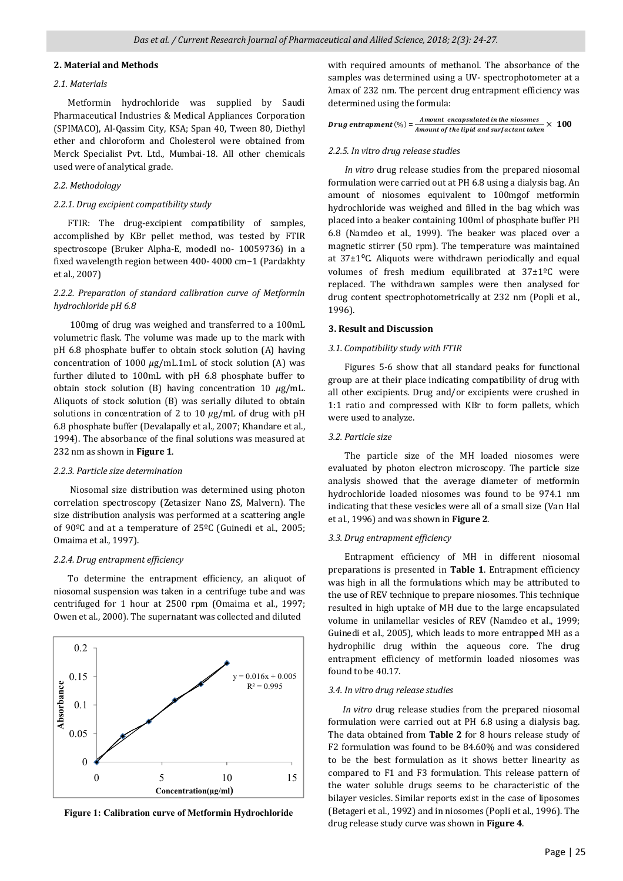#### **2. Material and Methods**

## *2.1. Materials*

 Metformin hydrochloride was supplied by Saudi Pharmaceutical Industries & Medical Appliances Corporation (SPIMACO), Al-Qassim City, KSA; Span 40, Tween 80, Diethyl ether and chloroform and Cholesterol were obtained from Merck Specialist Pvt. Ltd., Mumbai-18. All other chemicals used were of analytical grade.

#### *2.2. Methodology*

#### *2.2.1. Drug excipient compatibility study*

 FTIR: The drug-excipient compatibility of samples, accomplished by KBr pellet method, was tested by FTIR spectroscope (Bruker Alpha-E, modedl no- 10059736) in a fixed wavelength region between 400- 4000 cm−1 (Pardakhty et al., 2007)

## *2.2.2. Preparation of standard calibration curve of Metformin hydrochloride pH 6.8*

 100mg of drug was weighed and transferred to a 100mL volumetric flask. The volume was made up to the mark with pH 6.8 phosphate buffer to obtain stock solution (A) having concentration of 1000  $\mu$ g/mL.1mL of stock solution (A) was further diluted to 100mL with pH 6.8 phosphate buffer to obtain stock solution (B) having concentration 10  $\mu$ g/mL. Aliquots of stock solution (B) was serially diluted to obtain solutions in concentration of 2 to 10  $\mu$ g/mL of drug with pH 6.8 phosphate buffer (Devalapally et al., 2007; Khandare et al., 1994). The absorbance of the final solutions was measured at 232 nm as shown in **Figure 1**.

#### *2.2.3. Particle size determination*

 Niosomal size distribution was determined using photon correlation spectroscopy (Zetasizer Nano ZS, Malvern). The size distribution analysis was performed at a scattering angle of 90ºC and at a temperature of 25ºC (Guinedi et al., 2005; Omaima et al., 1997).

#### *2.2.4. Drug entrapment efficiency*

 To determine the entrapment efficiency, an aliquot of niosomal suspension was taken in a centrifuge tube and was centrifuged for 1 hour at 2500 rpm (Omaima et al., 1997; Owen et al., 2000). The supernatant was collected and diluted



**Figure 1: Calibration curve of Metformin Hydrochloride**

with required amounts of methanol. The absorbance of the samples was determined using a UV- spectrophotometer at a λmax of 232 nm. The percent drug entrapment efficiency was determined using the formula:

| Drug entrapment $(\%) =$ | Amount encapsulated in the niosomes<br>$\stackrel{3}{\rightharpoonup}\times 100$ |  |
|--------------------------|----------------------------------------------------------------------------------|--|
|                          | Amount of the lipid and surfactant taken                                         |  |

#### *2.2.5. In vitro drug release studies*

 *In vitro* drug release studies from the prepared niosomal formulation were carried out at PH 6.8 using a dialysis bag. An amount of niosomes equivalent to 100mgof metformin hydrochloride was weighed and filled in the bag which was placed into a beaker containing 100ml of phosphate buffer PH 6.8 (Namdeo et al., 1999). The beaker was placed over a magnetic stirrer (50 rpm). The temperature was maintained at  $37\pm1$ <sup>o</sup>C. Aliquots were withdrawn periodically and equal volumes of fresh medium equilibrated at 37±1ºC were replaced. The withdrawn samples were then analysed for drug content spectrophotometrically at 232 nm (Popli et al., 1996).

#### **3. Result and Discussion**

#### *3.1. Compatibility study with FTIR*

 Figures 5-6 show that all standard peaks for functional group are at their place indicating compatibility of drug with all other excipients. Drug and/or excipients were crushed in 1:1 ratio and compressed with KBr to form pallets, which were used to analyze.

#### *3.2. Particle size*

 The particle size of the MH loaded niosomes were evaluated by photon electron microscopy. The particle size analysis showed that the average diameter of metformin hydrochloride loaded niosomes was found to be 974.1 nm indicating that these vesicles were all of a small size (Van Hal et al., 1996) and was shown in **Figure 2**.

#### *3.3. Drug entrapment efficiency*

 Entrapment efficiency of MH in different niosomal preparations is presented in **Table 1**. Entrapment efficiency was high in all the formulations which may be attributed to the use of REV technique to prepare niosomes. This technique resulted in high uptake of MH due to the large encapsulated volume in unilamellar vesicles of REV (Namdeo et al., 1999; Guinedi et al., 2005), which leads to more entrapped MH as a hydrophilic drug within the aqueous core. The drug entrapment efficiency of metformin loaded niosomes was found to be 40.17.

#### *3.4. In vitro drug release studies*

 *In vitro* drug release studies from the prepared niosomal formulation were carried out at PH 6.8 using a dialysis bag. The data obtained from **Table 2** for 8 hours release study of F2 formulation was found to be 84.60% and was considered to be the best formulation as it shows better linearity as compared to F1 and F3 formulation. This release pattern of the water soluble drugs seems to be characteristic of the bilayer vesicles. Similar reports exist in the case of liposomes (Betageri et al., 1992) and in niosomes (Popli et al., 1996). The drug release study curve was shown in **Figure 4**.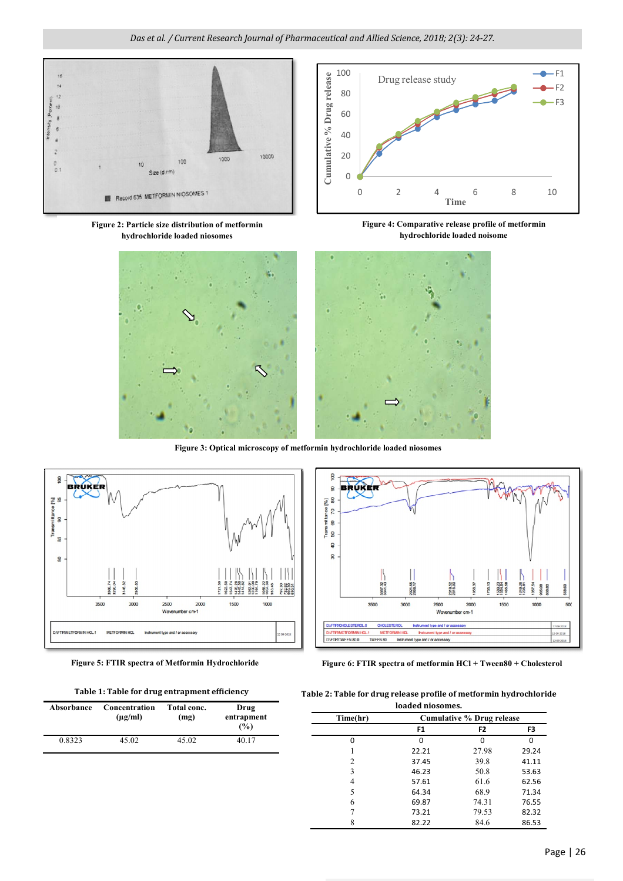*Das et al. / Current Research Journal of Pharmaceutical and Allied Science, 2018; 2(3): 24-27.*



**Figure 2: Particle size distribution of metformin hydrochloride loaded niosomes**



**Figure 4: Comparative release profile of metformin hydrochloride loaded noisome**



**Figure 3: Optical microscopy of metformin hydrochloride loaded niosomes**



**Table 1: Table for drug entrapment efficiency**

| Absorbance | Concentration<br>$(\mu g/ml)$ | Total conc.<br>(mg) | Drug<br>entrapment<br>(%) |
|------------|-------------------------------|---------------------|---------------------------|
| 0.8323     | 45.02                         | 45.02               | 40.17                     |



**Figure 5: FTIR spectra of Metformin Hydrochloride Figure 6: FTIR spectra of metformin HCl + Tween80 + Cholesterol**

|  |  | Table 2: Table for drug release profile of metformin hydrochloride |  |
|--|--|--------------------------------------------------------------------|--|
|--|--|--------------------------------------------------------------------|--|

| loaded niosomes. |                           |                |       |  |  |  |
|------------------|---------------------------|----------------|-------|--|--|--|
| Time(hr)         | Cumulative % Drug release |                |       |  |  |  |
|                  | F <sub>1</sub>            | F <sub>2</sub> | F3    |  |  |  |
| ŋ                | O                         |                | n     |  |  |  |
|                  | 22.21                     | 27.98          | 29.24 |  |  |  |
| 2                | 37.45                     | 39.8           | 41.11 |  |  |  |
| 3                | 46.23                     | 50.8           | 53.63 |  |  |  |
| 4                | 57.61                     | 61.6           | 62.56 |  |  |  |
| 5                | 64.34                     | 68.9           | 71.34 |  |  |  |
| 6                | 69.87                     | 74.31          | 76.55 |  |  |  |
|                  | 73.21                     | 79.53          | 82.32 |  |  |  |
|                  | 82.22                     | 84.6           | 86.53 |  |  |  |